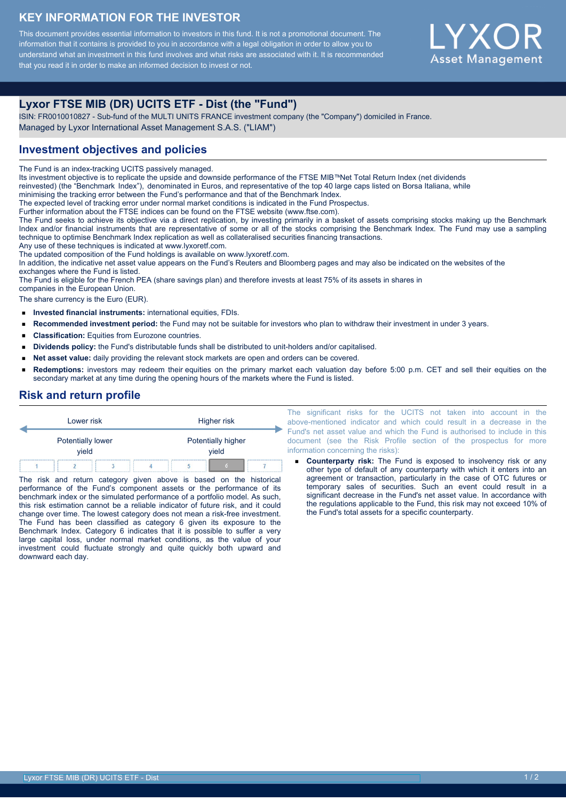### **KEY INFORMATION FOR THE INVESTOR**

This document provides essential information to investors in this fund. It is not a promotional document. The information that it contains is provided to you in accordance with a legal obligation in order to allow you to understand what an investment in this fund involves and what risks are associated with it. It is recommended that you read it in order to make an informed decision to invest or not.



# **Lyxor FTSE MIB (DR) UCITS ETF - Dist (the "Fund")**

ISIN: FR0010010827 - Sub-fund of the MULTI UNITS FRANCE investment company (the "Company") domiciled in France. Managed by Lyxor International Asset Management S.A.S. ("LIAM")

## **Investment objectives and policies**

The Fund is an index-tracking UCITS passively managed.

Its investment objective is to replicate the upside and downside performance of the FTSE MIB™Net Total Return Index (net dividends

reinvested) (the "Benchmark Index"), denominated in Euros, and representative of the top 40 large caps listed on Borsa Italiana, while

minimising the tracking error between the Fund's performance and that of the Benchmark Index.

The expected level of tracking error under normal market conditions is indicated in the Fund Prospectus.

Further information about the FTSE indices can be found on the FTSE website (www.ftse.com).

The Fund seeks to achieve its objective via a direct replication, by investing primarily in a basket of assets comprising stocks making up the Benchmark Index and/or financial instruments that are representative of some or all of the stocks comprising the Benchmark Index. The Fund may use a sampling technique to optimise Benchmark Index replication as well as collateralised securities financing transactions.

Any use of these techniques is indicated at www.lyxoretf.com.

The updated composition of the Fund holdings is available on www.lyxoretf.com.

In addition, the indicative net asset value appears on the Fund's Reuters and Bloomberg pages and may also be indicated on the websites of the exchanges where the Fund is listed.

The Fund is eligible for the French PEA (share savings plan) and therefore invests at least 75% of its assets in shares in

companies in the European Union.

The share currency is the Euro (EUR).

- **Invested financial instruments:** international equities, FDIs.  $\blacksquare$
- **Recommended investment period:** the Fund may not be suitable for investors who plan to withdraw their investment in under 3 years.  $\blacksquare$
- $\blacksquare$ **Classification:** Equities from Eurozone countries.
- **Dividends policy:** the Fund's distributable funds shall be distributed to unit-holders and/or capitalised.
- **Net asset value:** daily providing the relevant stock markets are open and orders can be covered.  $\blacksquare$
- **Redemptions:** investors may redeem their equities on the primary market each valuation day before 5:00 p.m. CET and sell their equities on the  $\blacksquare$ secondary market at any time during the opening hours of the markets where the Fund is listed.

## **Risk and return profile**



The risk and return category given above is based on the historical performance of the Fund's component assets or the performance of its benchmark index or the simulated performance of a portfolio model. As such, this risk estimation cannot be a reliable indicator of future risk, and it could change over time. The lowest category does not mean a risk-free investment. The Fund has been classified as category 6 given its exposure to the Benchmark Index. Category 6 indicates that it is possible to suffer a very large capital loss, under normal market conditions, as the value of your investment could fluctuate strongly and quite quickly both upward and downward each day.

The significant risks for the UCITS not taken into account in the above-mentioned indicator and which could result in a decrease in the Fund's net asset value and which the Fund is authorised to include in this document (see the Risk Profile section of the prospectus for more information concerning the risks):

**Counterparty risk:** The Fund is exposed to insolvency risk or any other type of default of any counterparty with which it enters into an agreement or transaction, particularly in the case of OTC futures or temporary sales of securities. Such an event could result in a significant decrease in the Fund's net asset value. In accordance with the regulations applicable to the Fund, this risk may not exceed 10% of the Fund's total assets for a specific counterparty.